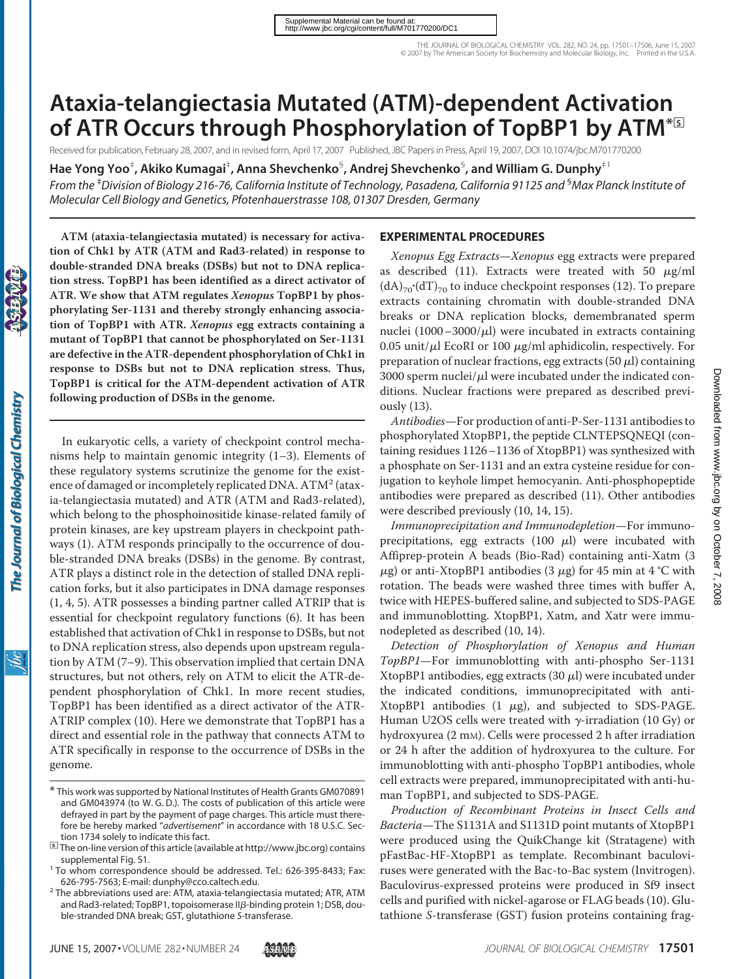# **Ataxia-telangiectasia Mutated (ATM)-dependent Activation of ATR Occurs through Phosphorylation of TopBP1 by ATM**<sup>\*</sup><sup>3</sup>

Received for publication, February 28, 2007, and in revised form, April 17, 2007 Published, JBC Papers in Press, April 19, 2007, DOI 10.1074/jbc.M701770200

**Hae Yong Yoo**‡ **, Akiko Kumagai**‡ **, Anna Shevchenko**§ **, Andrej Shevchenko**§ **, and William G. Dunphy**‡1

*From the* ‡ *Division of Biology 216-76, California Institute of Technology, Pasadena, California 91125 and* § *Max Planck Institute of Molecular Cell Biology and Genetics, Pfotenhauerstrasse 108, 01307 Dresden, Germany*

**ATM (ataxia-telangiectasia mutated) is necessary for activation of Chk1 by ATR (ATM and Rad3-related) in response to double-stranded DNA breaks (DSBs) but not to DNA replication stress. TopBP1 has been identified as a direct activator of ATR. We show that ATM regulates** *Xenopus* **TopBP1 by phosphorylating Ser-1131 and thereby strongly enhancing association of TopBP1 with ATR.** *Xenopus* **egg extracts containing a mutant of TopBP1 that cannot be phosphorylated on Ser-1131 are defective in the ATR-dependent phosphorylation of Chk1 in response to DSBs but not to DNA replication stress. Thus, TopBP1 is critical for the ATM-dependent activation of ATR following production of DSBs in the genome.**

In eukaryotic cells, a variety of checkpoint control mechanisms help to maintain genomic integrity (1–3). Elements of these regulatory systems scrutinize the genome for the existence of damaged or incompletely replicated DNA.  $ATM<sup>2</sup>$  (ataxia-telangiectasia mutated) and ATR (ATM and Rad3-related), which belong to the phosphoinositide kinase-related family of protein kinases, are key upstream players in checkpoint pathways (1). ATM responds principally to the occurrence of double-stranded DNA breaks (DSBs) in the genome. By contrast, ATR plays a distinct role in the detection of stalled DNA replication forks, but it also participates in DNA damage responses (1, 4, 5). ATR possesses a binding partner called ATRIP that is essential for checkpoint regulatory functions (6). It has been established that activation of Chk1 in response to DSBs, but not to DNA replication stress, also depends upon upstream regulation by ATM (7–9). This observation implied that certain DNA structures, but not others, rely on ATM to elicit the ATR-dependent phosphorylation of Chk1. In more recent studies, TopBP1 has been identified as a direct activator of the ATR-ATRIP complex (10). Here we demonstrate that TopBP1 has a direct and essential role in the pathway that connects ATM to ATR specifically in response to the occurrence of DSBs in the genome.

### **EXPERIMENTAL PROCEDURES**

*Xenopus Egg Extracts*—*Xenopus* egg extracts were prepared as described (11). Extracts were treated with 50  $\mu$ g/ml  $(dA)_{70}$ '(dT)<sub>70</sub> to induce checkpoint responses (12). To prepare extracts containing chromatin with double-stranded DNA breaks or DNA replication blocks, demembranated sperm nuclei  $(1000-3000/\mu l)$  were incubated in extracts containing 0.05 unit/ $\mu$ l EcoRI or 100  $\mu$ g/ml aphidicolin, respectively. For preparation of nuclear fractions, egg extracts (50  $\mu$ l) containing 3000 sperm nuclei/ $\mu$ l were incubated under the indicated conditions. Nuclear fractions were prepared as described previously (13).

*Antibodies*—For production of anti-P-Ser-1131 antibodies to phosphorylated XtopBP1, the peptide CLNTEPSQNEQI (containing residues 1126–1136 of XtopBP1) was synthesized with a phosphate on Ser-1131 and an extra cysteine residue for conjugation to keyhole limpet hemocyanin. Anti-phosphopeptide antibodies were prepared as described (11). Other antibodies were described previously (10, 14, 15).

*Immunoprecipitation and Immunodepletion*—For immunoprecipitations, egg extracts  $(100 \mu l)$  were incubated with Affiprep-protein A beads (Bio-Rad) containing anti-Xatm (3  $\mu$ g) or anti-XtopBP1 antibodies (3  $\mu$ g) for 45 min at 4 °C with rotation. The beads were washed three times with buffer A, twice with HEPES-buffered saline, and subjected to SDS-PAGE and immunoblotting. XtopBP1, Xatm, and Xatr were immunodepleted as described (10, 14).

*Detection of Phosphorylation of Xenopus and Human TopBP1*—For immunoblotting with anti-phospho Ser-1131 XtopBP1 antibodies, egg extracts  $(30 \mu l)$  were incubated under the indicated conditions, immunoprecipitated with anti-XtopBP1 antibodies  $(1 \mu g)$ , and subjected to SDS-PAGE. Human U2OS cells were treated with  $\gamma$ -irradiation (10 Gy) or hydroxyurea (2 mM). Cells were processed 2 h after irradiation or 24 h after the addition of hydroxyurea to the culture. For immunoblotting with anti-phospho TopBP1 antibodies, whole cell extracts were prepared, immunoprecipitated with anti-human TopBP1, and subjected to SDS-PAGE.

*Production of Recombinant Proteins in Insect Cells and Bacteria*—The S1131A and S1131D point mutants of XtopBP1 were produced using the QuikChange kit (Stratagene) with pFastBac-HF-XtopBP1 as template. Recombinant baculoviruses were generated with the Bac-to-Bac system (Invitrogen). Baculovirus-expressed proteins were produced in Sf9 insect cells and purified with nickel-agarose or FLAG beads (10). Glutathione *S*-transferase (GST) fusion proteins containing frag-

The Journal of Biological Chemistry

<sup>\*</sup> This work was supported by National Institutes of Health Grants GM070891 and GM043974 (to W. G. D.). The costs of publication of this article were defrayed in part by the payment of page charges. This article must therefore be hereby marked "*advertisement*" in accordance with 18 U.S.C. Section 1734 solely to indicate this fact.<br>**<sup>1</sup>I** The on-line version of this article (available at http://www.jbc.org) contains

supplemental Fig. S1. <sup>1</sup> To whom correspondence should be addressed. Tel.: 626-395-8433; Fax:

<sup>626-795-7563;</sup> E-mail: dunphy@cco.caltech.edu.<br><sup>2</sup> The abbreviations used are: ATM, ataxia-telangiectasia mutated; ATR, ATM

and Rad3-related; TopBP1, topoisomerase II $\beta$ -binding protein 1; DSB, double-stranded DNA break; GST, glutathione *S*-transferase.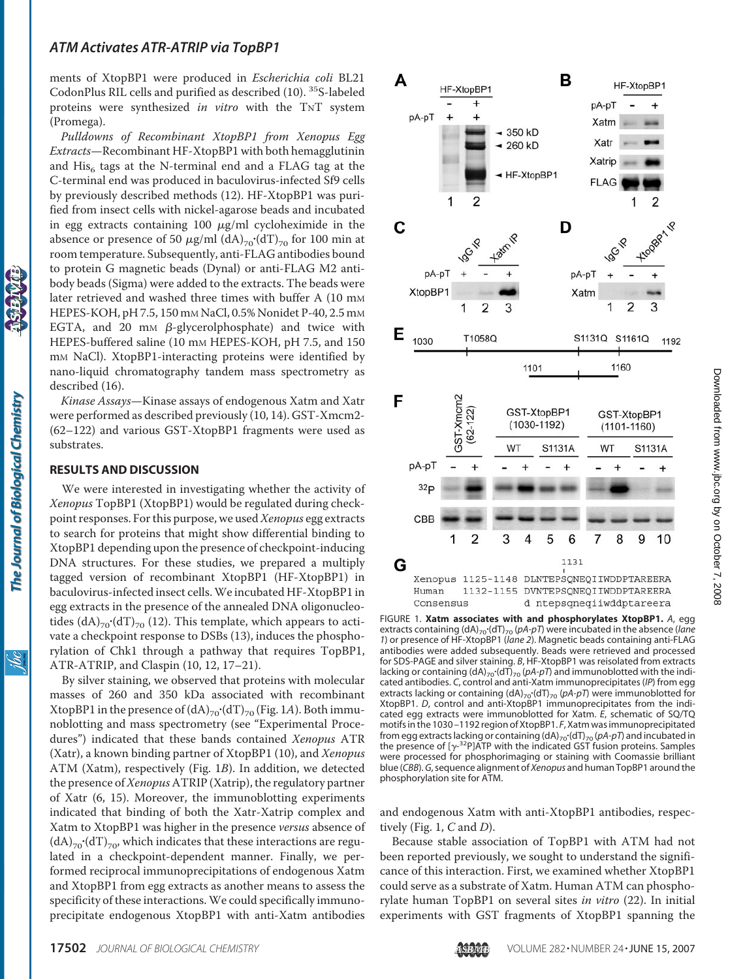#### *ATM Activates ATR-ATRIP via TopBP1*

ments of XtopBP1 were produced in *Escherichia coli* BL21 CodonPlus RIL cells and purified as described (10). 35S-labeled proteins were synthesized *in vitro* with the TNT system (Promega).

*Pulldowns of Recombinant XtopBP1 from Xenopus Egg Extracts*—Recombinant HF-XtopBP1 with both hemagglutinin and His<sub>6</sub> tags at the N-terminal end and a FLAG tag at the C-terminal end was produced in baculovirus-infected Sf9 cells by previously described methods (12). HF-XtopBP1 was purified from insect cells with nickel-agarose beads and incubated in egg extracts containing 100  $\mu$ g/ml cycloheximide in the absence or presence of 50  $\mu$ g/ml (dA)<sub>70</sub>·(dT)<sub>70</sub> for 100 min at room temperature. Subsequently, anti-FLAG antibodies bound to protein G magnetic beads (Dynal) or anti-FLAG M2 antibody beads (Sigma) were added to the extracts. The beads were later retrieved and washed three times with buffer A (10 mM HEPES-KOH, pH 7.5, 150 mM NaCl, 0.5% Nonidet P-40, 2.5 mM EGTA, and 20 mm  $\beta$ -glycerolphosphate) and twice with HEPES-buffered saline (10 mm HEPES-KOH, pH 7.5, and 150 mM NaCl). XtopBP1-interacting proteins were identified by nano-liquid chromatography tandem mass spectrometry as described (16).

*Kinase Assays*—Kinase assays of endogenous Xatm and Xatr were performed as described previously (10, 14). GST-Xmcm2- (62–122) and various GST-XtopBP1 fragments were used as substrates.

### **RESULTS AND DISCUSSION**

We were interested in investigating whether the activity of *Xenopus* TopBP1 (XtopBP1) would be regulated during checkpoint responses. For this purpose, we used*Xenopus* egg extracts to search for proteins that might show differential binding to XtopBP1 depending upon the presence of checkpoint-inducing DNA structures. For these studies, we prepared a multiply tagged version of recombinant XtopBP1 (HF-XtopBP1) in baculovirus-infected insect cells.We incubated HF-XtopBP1 in egg extracts in the presence of the annealed DNA oligonucleotides  $\left(dA\right)_{70}$ '(dT)<sub>70</sub> (12). This template, which appears to activate a checkpoint response to DSBs (13), induces the phosphorylation of Chk1 through a pathway that requires TopBP1, ATR-ATRIP, and Claspin (10, 12, 17–21).

By silver staining, we observed that proteins with molecular masses of 260 and 350 kDa associated with recombinant XtopBP1 in the presence of  $(dA)_{70}$ **.**(dT)<sub>70</sub> (Fig. 1*A*). Both immunoblotting and mass spectrometry (see "Experimental Procedures") indicated that these bands contained *Xenopus* ATR (Xatr), a known binding partner of XtopBP1 (10), and *Xenopus* ATM (Xatm), respectively (Fig. 1*B*). In addition, we detected the presence of*Xenopus* ATRIP (Xatrip), the regulatory partner of Xatr (6, 15). Moreover, the immunoblotting experiments indicated that binding of both the Xatr-Xatrip complex and Xatm to XtopBP1 was higher in the presence *versus* absence of  $\rm (dA)_{70}\cdot\rm (dT)_{70}$ , which indicates that these interactions are regulated in a checkpoint-dependent manner. Finally, we performed reciprocal immunoprecipitations of endogenous Xatm and XtopBP1 from egg extracts as another means to assess the specificity of these interactions.We could specifically immunoprecipitate endogenous XtopBP1 with anti-Xatm antibodies



FIGURE 1. **Xatm associates with and phosphorylates XtopBP1.** *A*, egg extracts containing (dA)<sub>70</sub>·(dT)<sub>70</sub> (pA-pT) were incubated in the absence (*lane 1*) or presence of HF-XtopBP1 (*lane 2*). Magnetic beads containing anti-FLAG antibodies were added subsequently. Beads were retrieved and processed for SDS-PAGE and silver staining. *B*, HF-XtopBP1 was reisolated from extracts lacking or containing (dA)<sub>70</sub> (dT)<sub>70</sub> (*pA-pT*) and immunoblotted with the indicated antibodies. *C*, control and anti-Xatm immunoprecipitates (*IP*) from egg extracts lacking or containing (dA)<sub>70</sub> (dT)<sub>70</sub> (pA-pT) were immunoblotted for XtopBP1. *D*, control and anti-XtopBP1 immunoprecipitates from the indicated egg extracts were immunoblotted for Xatm. *E*, schematic of SQ/TQ motifs in the 1030 –1192 region of XtopBP1. *F*, Xatm was immunoprecipitated from egg extracts lacking or containing (dA)<sub>70</sub> (dT)<sub>70</sub> (pA-pT) and incubated in the presence of  $[\gamma^{32}P]\overline{ATP}$  with the indicated GST fusion proteins. Samples were processed for phosphorimaging or staining with Coomassie brilliant blue (*CBB*).*G*, sequence alignment of *Xenopus* and human TopBP1 around the phosphorylation site for ATM.

and endogenous Xatm with anti-XtopBP1 antibodies, respectively (Fig. 1, *C* and *D*).

Because stable association of TopBP1 with ATM had not been reported previously, we sought to understand the significance of this interaction. First, we examined whether XtopBP1 could serve as a substrate of Xatm. Human ATM can phosphorylate human TopBP1 on several sites *in vitro* (22). In initial experiments with GST fragments of XtopBP1 spanning the

ibc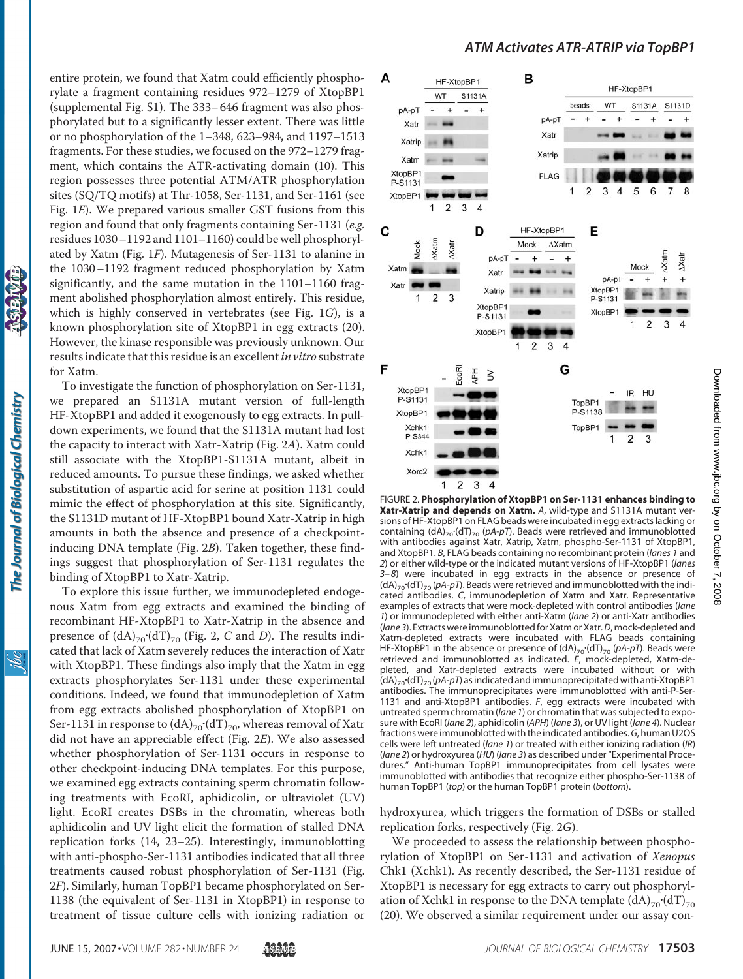The Journal of Biological Chemistry

ibc

entire protein, we found that Xatm could efficiently phosphorylate a fragment containing residues 972–1279 of XtopBP1 (supplemental Fig. S1). The 333– 646 fragment was also phosphorylated but to a significantly lesser extent. There was little or no phosphorylation of the 1–348, 623–984, and 1197–1513 fragments. For these studies, we focused on the 972–1279 fragment, which contains the ATR-activating domain (10). This region possesses three potential ATM/ATR phosphorylation sites (SQ/TQ motifs) at Thr-1058, Ser-1131, and Ser-1161 (see Fig. 1*E*). We prepared various smaller GST fusions from this region and found that only fragments containing Ser-1131 (*e.g.* residues 1030–1192 and 1101–1160) could be well phosphorylated by Xatm (Fig. 1*F*). Mutagenesis of Ser-1131 to alanine in the 1030–1192 fragment reduced phosphorylation by Xatm significantly, and the same mutation in the 1101–1160 fragment abolished phosphorylation almost entirely. This residue, which is highly conserved in vertebrates (see Fig. 1*G*), is a known phosphorylation site of XtopBP1 in egg extracts (20). However, the kinase responsible was previously unknown. Our results indicate that this residue is an excellent*in vitro* substrate for Xatm.

To investigate the function of phosphorylation on Ser-1131, we prepared an S1131A mutant version of full-length HF-XtopBP1 and added it exogenously to egg extracts. In pulldown experiments, we found that the S1131A mutant had lost the capacity to interact with Xatr-Xatrip (Fig. 2*A*). Xatm could still associate with the XtopBP1-S1131A mutant, albeit in reduced amounts. To pursue these findings, we asked whether substitution of aspartic acid for serine at position 1131 could mimic the effect of phosphorylation at this site. Significantly, the S1131D mutant of HF-XtopBP1 bound Xatr-Xatrip in high amounts in both the absence and presence of a checkpointinducing DNA template (Fig. 2*B*). Taken together, these findings suggest that phosphorylation of Ser-1131 regulates the binding of XtopBP1 to Xatr-Xatrip.

To explore this issue further, we immunodepleted endogenous Xatm from egg extracts and examined the binding of recombinant HF-XtopBP1 to Xatr-Xatrip in the absence and presence of  $(dA)_{70}$ <sup>(</sup>dT)<sub>70</sub> (Fig. 2, *C* and *D*). The results indicated that lack of Xatm severely reduces the interaction of Xatr with XtopBP1. These findings also imply that the Xatm in egg extracts phosphorylates Ser-1131 under these experimental conditions. Indeed, we found that immunodepletion of Xatm from egg extracts abolished phosphorylation of XtopBP1 on Ser-1131 in response to  $\left(dA\right)_{70}\cdot\left(dT\right)_{70}$ , whereas removal of Xatr did not have an appreciable effect (Fig. 2*E*). We also assessed whether phosphorylation of Ser-1131 occurs in response to other checkpoint-inducing DNA templates. For this purpose, we examined egg extracts containing sperm chromatin following treatments with EcoRI, aphidicolin, or ultraviolet (UV) light. EcoRI creates DSBs in the chromatin, whereas both aphidicolin and UV light elicit the formation of stalled DNA replication forks (14, 23–25). Interestingly, immunoblotting with anti-phospho-Ser-1131 antibodies indicated that all three treatments caused robust phosphorylation of Ser-1131 (Fig. 2*F*). Similarly, human TopBP1 became phosphorylated on Ser-1138 (the equivalent of Ser-1131 in XtopBP1) in response to treatment of tissue culture cells with ionizing radiation or

## *ATM Activates ATR-ATRIP via TopBP1*



FIGURE 2. **Phosphorylation of XtopBP1 on Ser-1131 enhances binding to Xatr-Xatrip and depends on Xatm.** *A*, wild-type and S1131A mutant versions of HF-XtopBP1 on FLAG beads were incubated in egg extracts lacking or containing  $\langle dA \rangle_{70} \langle dT \rangle_{70}$  (pA-pT). Beads were retrieved and immunoblotted with antibodies against Xatr, Xatrip, Xatm, phospho-Ser-1131 of XtopBP1, and XtopBP1. *B*, FLAG beads containing no recombinant protein (*lanes 1* and *2*) or either wild-type or the indicated mutant versions of HF-XtopBP1 (*lanes 3–8*) were incubated in egg extracts in the absence or presence of (dA)<sub>70</sub> (dT)<sub>70</sub> (*pA-pT*). Beads were retrieved and immunoblotted with the indicated antibodies. *C*, immunodepletion of Xatm and Xatr. Representative examples of extracts that were mock-depleted with control antibodies (*lane 1*) or immunodepleted with either anti-Xatm (*lane 2*) or anti-Xatr antibodies (*lane 3*). Extracts were immunoblottedfor Xatm or Xatr.*D*, mock-depleted and Xatm-depleted extracts were incubated with FLAG beads containing HF-XtopBP1 in the absence or presence of (dA)<sub>70</sub> (dT)<sub>70</sub> (pA-pT). Beads were retrieved and immunoblotted as indicated. *E*, mock-depleted, Xatm-depleted, and Xatr-depleted extracts were incubated without or with (dA)<sub>70</sub> (dT)<sub>70</sub> (pA-pT) as indicated and immunoprecipitated with anti-XtopBP1 antibodies. The immunoprecipitates were immunoblotted with anti-P-Ser-1131 and anti-XtopBP1 antibodies. *F*, egg extracts were incubated with untreated sperm chromatin (*lane 1*) or chromatin that was subjected to exposure with EcoRI (*lane 2*), aphidicolin (*APH*) (*lane 3*), or UV light (*lane 4*). Nuclear fractions were immunoblotted with the indicated antibodies.*G*, human U2OS cells were left untreated (*lane 1*) or treated with either ionizing radiation (*IR*) (*lane 2*) or hydroxyurea (*HU*) (*lane 3*) as described under "Experimental Procedures." Anti-human TopBP1 immunoprecipitates from cell lysates were immunoblotted with antibodies that recognize either phospho-Ser-1138 of human TopBP1 (*top*) or the human TopBP1 protein (*bottom*).

hydroxyurea, which triggers the formation of DSBs or stalled replication forks, respectively (Fig. 2*G*).

We proceeded to assess the relationship between phosphorylation of XtopBP1 on Ser-1131 and activation of *Xenopus* Chk1 (Xchk1). As recently described, the Ser-1131 residue of XtopBP1 is necessary for egg extracts to carry out phosphorylation of Xchk1 in response to the DNA template  $\text{(dA)}_{70}\cdot \text{(dT)}_{70}$ (20). We observed a similar requirement under our assay con-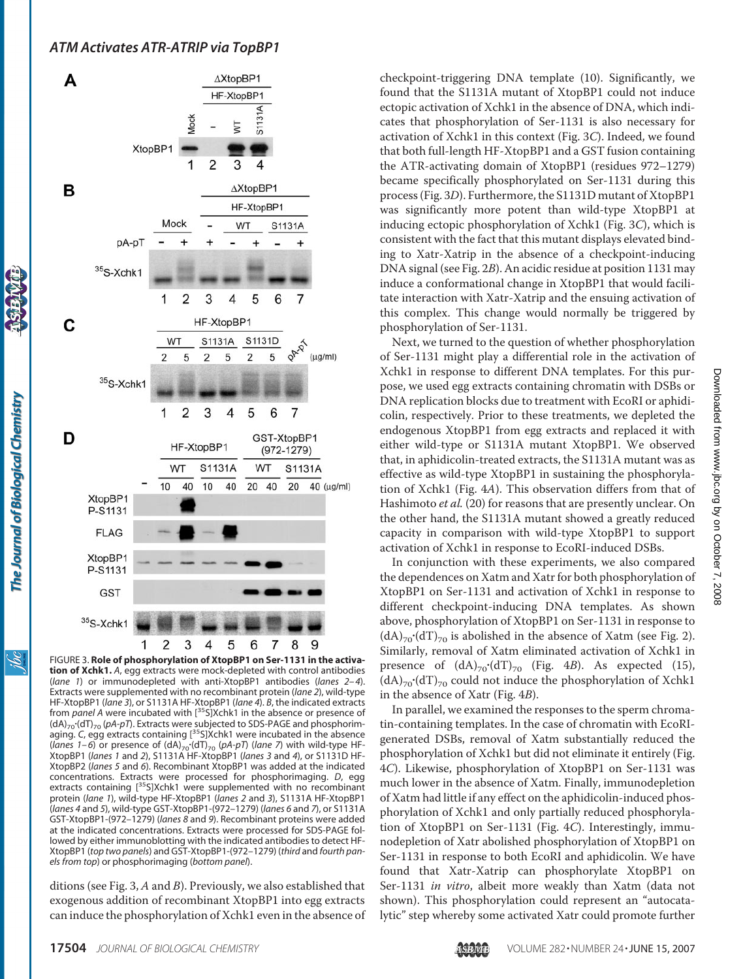

The Journal of Biological Chemistry

Ìбс

FIGURE 3. **Role of phosphorylation of XtopBP1 on Ser-1131 in the activation of Xchk1.** *A*, egg extracts were mock-depleted with control antibodies (*lane 1*) or immunodepleted with anti-XtopBP1 antibodies (*lanes 2–4*). Extracts were supplemented with no recombinant protein (*lane 2*), wild-type HF-XtopBP1 (*lane 3*), or S1131A HF-XtopBP1 (*lane 4*). *B*, the indicated extracts from *panel A* were incubated with [<sup>35</sup>S]Xchk1 in the absence or presence of (dA)<sub>70</sub>·(dT)<sub>70</sub> (pA-pT). Extracts were subjected to SDS-PAGE and phosphorimaging. *C*, egg extracts containing [<sup>35</sup>S]Xchk1 were incubated in the absence (*lanes 1–6*) or presence of (dA)<sub>70</sub>·(dT)<sub>70</sub> (pA-pT) (*lane 7*) with wild-type HF-XtopBP1 (*lanes 1* and *2*), S1131A HF-XtopBP1 (*lanes 3* and *4*), or S1131D HF-XtopBP2 (*lanes 5* and *6*). Recombinant XtopBP1 was added at the indicated concentrations. Extracts were processed for phosphorimaging. *D*, egg extracts containing [<sup>35</sup>S]Xchk1 were supplemented with no recombinant protein (*lane 1*), wild-type HF-XtopBP1 (*lanes 2* and *3*), S1131A HF-XtopBP1 (*lanes 4* and *5*), wild-type GST-XtopBP1-(972–1279) (*lanes 6* and *7*), or S1131A GST-XtopBP1-(972–1279) (*lanes 8* and *9*). Recombinant proteins were added at the indicated concentrations. Extracts were processed for SDS-PAGE followed by either immunoblotting with the indicated antibodies to detect HF-XtopBP1 (*top two panels*) and GST-XtopBP1-(972–1279) (*third* and *fourth panels from top*) or phosphorimaging (*bottom panel*).

ditions (see Fig. 3, *A* and *B*). Previously, we also established that exogenous addition of recombinant XtopBP1 into egg extracts can induce the phosphorylation of Xchk1 even in the absence of checkpoint-triggering DNA template (10). Significantly, we found that the S1131A mutant of XtopBP1 could not induce ectopic activation of Xchk1 in the absence of DNA, which indicates that phosphorylation of Ser-1131 is also necessary for activation of Xchk1 in this context (Fig. 3*C*). Indeed, we found that both full-length HF-XtopBP1 and a GST fusion containing the ATR-activating domain of XtopBP1 (residues 972–1279) became specifically phosphorylated on Ser-1131 during this process (Fig. 3*D*). Furthermore, the S1131D mutant of XtopBP1 was significantly more potent than wild-type XtopBP1 at inducing ectopic phosphorylation of Xchk1 (Fig. 3*C*), which is consistent with the fact that this mutant displays elevated binding to Xatr-Xatrip in the absence of a checkpoint-inducing DNA signal (see Fig. 2*B*). An acidic residue at position 1131 may induce a conformational change in XtopBP1 that would facilitate interaction with Xatr-Xatrip and the ensuing activation of this complex. This change would normally be triggered by phosphorylation of Ser-1131.

Next, we turned to the question of whether phosphorylation of Ser-1131 might play a differential role in the activation of Xchk1 in response to different DNA templates. For this purpose, we used egg extracts containing chromatin with DSBs or DNA replication blocks due to treatment with EcoRI or aphidicolin, respectively. Prior to these treatments, we depleted the endogenous XtopBP1 from egg extracts and replaced it with either wild-type or S1131A mutant XtopBP1. We observed that, in aphidicolin-treated extracts, the S1131A mutant was as effective as wild-type XtopBP1 in sustaining the phosphorylation of Xchk1 (Fig. 4*A*). This observation differs from that of Hashimoto *et al.* (20) for reasons that are presently unclear. On the other hand, the S1131A mutant showed a greatly reduced capacity in comparison with wild-type XtopBP1 to support activation of Xchk1 in response to EcoRI-induced DSBs.

In conjunction with these experiments, we also compared the dependences on Xatm and Xatr for both phosphorylation of XtopBP1 on Ser-1131 and activation of Xchk1 in response to different checkpoint-inducing DNA templates. As shown above, phosphorylation of XtopBP1 on Ser-1131 in response to  $(dA)_{70}$ '(dT)<sub>70</sub> is abolished in the absence of Xatm (see Fig. 2). Similarly, removal of Xatm eliminated activation of Xchk1 in presence of  $(dA)_{70}$ <sup>(</sup>dT)<sub>70</sub> (Fig. 4*B*). As expected (15),  $(dA)_{70}$ '(dT)<sub>70</sub> could not induce the phosphorylation of Xchk1 in the absence of Xatr (Fig. 4*B*).

In parallel, we examined the responses to the sperm chromatin-containing templates. In the case of chromatin with EcoRIgenerated DSBs, removal of Xatm substantially reduced the phosphorylation of Xchk1 but did not eliminate it entirely (Fig. 4*C*). Likewise, phosphorylation of XtopBP1 on Ser-1131 was much lower in the absence of Xatm. Finally, immunodepletion of Xatm had little if any effect on the aphidicolin-induced phosphorylation of Xchk1 and only partially reduced phosphorylation of XtopBP1 on Ser-1131 (Fig. 4*C*). Interestingly, immunodepletion of Xatr abolished phosphorylation of XtopBP1 on Ser-1131 in response to both EcoRI and aphidicolin. We have found that Xatr-Xatrip can phosphorylate XtopBP1 on Ser-1131 *in vitro*, albeit more weakly than Xatm (data not shown). This phosphorylation could represent an "autocatalytic" step whereby some activated Xatr could promote further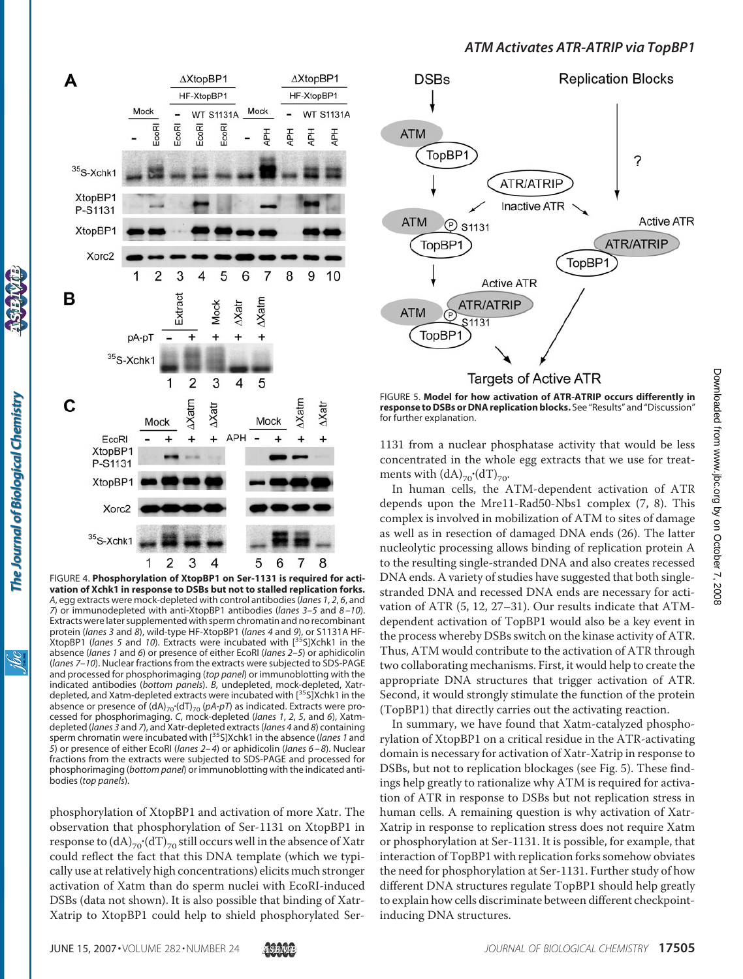

FIGURE 4. **Phosphorylation of XtopBP1 on Ser-1131 is required for activation of Xchk1 in response to DSBs but not to stalled replication forks.** *A*, egg extracts were mock-depleted with control antibodies (*lanes 1*, *2*, *6*, and *7*) or immunodepleted with anti-XtopBP1 antibodies (*lanes 3–5* and *8 –10*). Extracts were later supplemented with sperm chromatin and no recombinant protein (*lanes 3* and *8*), wild-type HF-XtopBP1 (*lanes 4* and *9*), or S1131A HF-XtopBP1 (*lanes 5* and *10*). Extracts were incubated with [35S]Xchk1 in the absence (*lanes 1* and *6*) or presence of either EcoRI (*lanes 2–5*) or aphidicolin (*lanes 7–10*). Nuclear fractions from the extracts were subjected to SDS-PAGE and processed for phosphorimaging (*top panel*) or immunoblotting with the indicated antibodies (*bottom panels*). *B*, undepleted, mock-depleted, Xatrdepleted, and Xatm-depleted extracts were incubated with [35S]Xchk1 in the absence or presence of (dA)<sub>70</sub> (dT)<sub>70</sub> (pA-pT) as indicated. Extracts were processed for phosphorimaging. *C*, mock-depleted (*lanes 1*, *2*, *5*, and *6*), Xatmdepleted (*lanes 3* and *7*), and Xatr-depleted extracts (*lanes 4* and *8*) containing sperm chromatin were incubated with [35S]Xchk1 in the absence (*lanes 1* and *5*) or presence of either EcoRI (*lanes 2–4*) or aphidicolin (*lanes 6 –8*). Nuclear fractions from the extracts were subjected to SDS-PAGE and processed for phosphorimaging (*bottom panel*) or immunoblotting with the indicated antibodies (*top panels*).

phosphorylation of XtopBP1 and activation of more Xatr. The observation that phosphorylation of Ser-1131 on XtopBP1 in response to  $\sf (dA)_{70}\rm^{\bullet}(dT)_{70}$  still occurs well in the absence of Xatr could reflect the fact that this DNA template (which we typically use at relatively high concentrations) elicits much stronger activation of Xatm than do sperm nuclei with EcoRI-induced DSBs (data not shown). It is also possible that binding of Xatr-Xatrip to XtopBP1 could help to shield phosphorylated Ser-



FIGURE 5. **Model for how activation of ATR-ATRIP occurs differently in response to DSBs or DNA replication blocks.** See "Results" and "Discussion" for further explanation.

1131 from a nuclear phosphatase activity that would be less concentrated in the whole egg extracts that we use for treatments with  $\left(\text{dA}\right)_{70}$  $\cdot$  $\left(\text{dT}\right)_{70}$  $\cdot$ 

In human cells, the ATM-dependent activation of ATR depends upon the Mre11-Rad50-Nbs1 complex (7, 8). This complex is involved in mobilization of ATM to sites of damage as well as in resection of damaged DNA ends (26). The latter nucleolytic processing allows binding of replication protein A to the resulting single-stranded DNA and also creates recessed DNA ends. A variety of studies have suggested that both singlestranded DNA and recessed DNA ends are necessary for activation of ATR (5, 12, 27–31). Our results indicate that ATMdependent activation of TopBP1 would also be a key event in the process whereby DSBs switch on the kinase activity of ATR. Thus, ATM would contribute to the activation of ATR through two collaborating mechanisms. First, it would help to create the appropriate DNA structures that trigger activation of ATR. Second, it would strongly stimulate the function of the protein (TopBP1) that directly carries out the activating reaction.

In summary, we have found that Xatm-catalyzed phosphorylation of XtopBP1 on a critical residue in the ATR-activating domain is necessary for activation of Xatr-Xatrip in response to DSBs, but not to replication blockages (see Fig. 5). These findings help greatly to rationalize why ATM is required for activation of ATR in response to DSBs but not replication stress in human cells. A remaining question is why activation of Xatr-Xatrip in response to replication stress does not require Xatm or phosphorylation at Ser-1131. It is possible, for example, that interaction of TopBP1 with replication forks somehow obviates the need for phosphorylation at Ser-1131. Further study of how different DNA structures regulate TopBP1 should help greatly to explain how cells discriminate between different checkpointinducing DNA structures.

<u>isse</u>

The Journal of Biological Chemistry